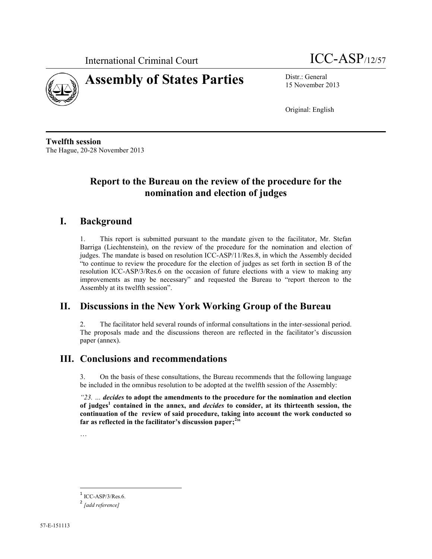

# **Assembly of States Parties** Distr.: General

International Criminal Court **ICC-ASP**/12/57

15 November 2013

Original: English

**Twelfth session** The Hague, 20-28 November 2013

# **Report to the Bureau on the review of the procedure for the nomination and election of judges**

### **I. Background**

1. This report is submitted pursuant to the mandate given to the facilitator, Mr. Stefan Barriga (Liechtenstein), on the review of the procedure for the nomination and election of judges. The mandate is based on resolution ICC-ASP/11/Res.8, in which the Assembly decided "to continue to review the procedure for the election of judges as set forth in section B of the resolution ICC-ASP/3/Res.6 on the occasion of future elections with a view to making any improvements as may be necessary" and requested the Bureau to "report thereon to the Assembly at its twelfth session".

### **II. Discussions in the New York Working Group of the Bureau**

2. The facilitator held several rounds of informal consultations in the inter-sessional period. The proposals made and the discussions thereon are reflected in the facilitator's discussion paper (annex).

### **III. Conclusions and recommendations**

3. On the basis of these consultations, the Bureau recommends that the following language be included in the omnibus resolution to be adopted at the twelfth session of the Assembly:

*"23. … decides* **to adopt the amendments to the procedure for the nomination and election of judges<sup>1</sup> contained in the annex, and** *decides* **to consider, at its thirteenth session, the continuation of the review of said procedure, taking into account the work conducted so far as reflected in the facilitator's discussion paper; 2 "**

…

 $\overline{a}$ 

<sup>1</sup> ICC-ASP/3/Res.6.

<sup>2</sup> *[add reference]*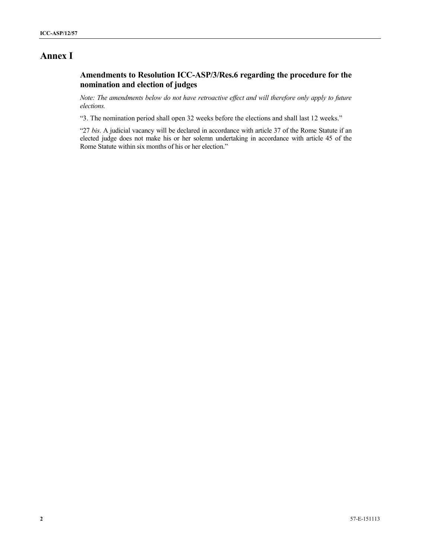# **Annex I**

### **Amendments to Resolution ICC-ASP/3/Res.6 regarding the procedure for the nomination and election of judges**

*Note: The amendments below do not have retroactive effect and will therefore only apply to future elections.*

"3. The nomination period shall open 32 weeks before the elections and shall last 12 weeks."

"27 *bis*. A judicial vacancy will be declared in accordance with article 37 of the Rome Statute if an elected judge does not make his or her solemn undertaking in accordance with article 45 of the Rome Statute within six months of his or her election."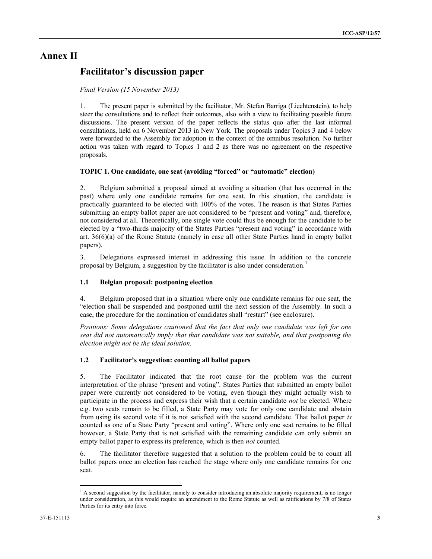### **Annex II**

### **Facilitator's discussion paper**

#### *Final Version (15 November 2013)*

1. The present paper is submitted by the facilitator, Mr. Stefan Barriga (Liechtenstein), to help steer the consultations and to reflect their outcomes, also with a view to facilitating possible future discussions. The present version of the paper reflects the status quo after the last informal consultations, held on 6 November 2013 in New York. The proposals under Topics 3 and 4 below were forwarded to the Assembly for adoption in the context of the omnibus resolution. No further action was taken with regard to Topics 1 and 2 as there was no agreement on the respective proposals.

#### **TOPIC 1. One candidate, one seat (avoiding "forced" or "automatic" election)**

2. Belgium submitted a proposal aimed at avoiding a situation (that has occurred in the past) where only one candidate remains for one seat. In this situation, the candidate is practically guaranteed to be elected with 100% of the votes. The reason is that States Parties submitting an empty ballot paper are not considered to be "present and voting" and, therefore, not considered at all. Theoretically, one single vote could thus be enough for the candidate to be elected by a "two-thirds majority of the States Parties "present and voting" in accordance with art. 36(6)(a) of the Rome Statute (namely in case all other State Parties hand in empty ballot papers).

3. Delegations expressed interest in addressing this issue. In addition to the concrete proposal by Belgium, a suggestion by the facilitator is also under consideration.<sup>1</sup>

#### **1.1 Belgian proposal: postponing election**

4. Belgium proposed that in a situation where only one candidate remains for one seat, the "election shall be suspended and postponed until the next session of the Assembly. In such a case, the procedure for the nomination of candidates shall "restart" (see enclosure).

*Positions: Some delegations cautioned that the fact that only one candidate was left for one seat did not automatically imply that that candidate was not suitable, and that postponing the election might not be the ideal solution.*

#### **1.2 Facilitator's suggestion: counting all ballot papers**

5. The Facilitator indicated that the root cause for the problem was the current interpretation of the phrase "present and voting". States Parties that submitted an empty ballot paper were currently not considered to be voting, even though they might actually wish to participate in the process and express their wish that a certain candidate *not* be elected. Where e.g. two seats remain to be filled, a State Party may vote for only one candidate and abstain from using its second vote if it is not satisfied with the second candidate. That ballot paper *is* counted as one of a State Party "present and voting". Where only one seat remains to be filled however, a State Party that is not satisfied with the remaining candidate can only submit an empty ballot paper to express its preference, which is then *not* counted.

6. The facilitator therefore suggested that a solution to the problem could be to count all ballot papers once an election has reached the stage where only one candidate remains for one seat.

 $\overline{a}$  $<sup>1</sup>$  A second suggestion by the facilitator, namely to consider introducing an absolute majority requirement, is no longer</sup> under consideration, as this would require an amendment to the Rome Statute as well as ratifications by 7/8 of States Parties for its entry into force.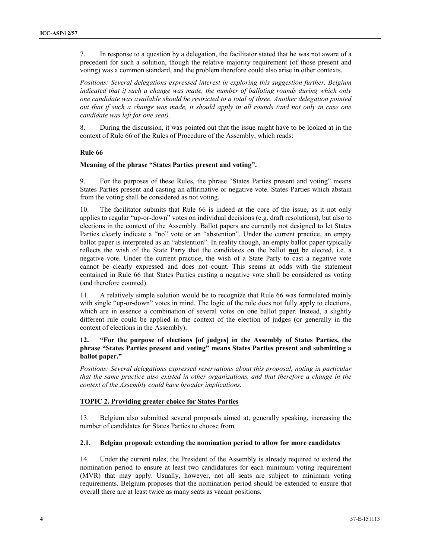7. In response to a question by a delegation, the facilitator stated that he was not aware of a precedent for such a solution, though the relative majority requirement (of those present and voting) was a common standard, and the problem therefore could also arise in other contexts.

*Positions: Several delegations expressed interest in exploring this suggestion further. Belgium indicated that if such a change was made, the number of balloting rounds during which only one candidate was available should be restricted to a total of three. Another delegation pointed out that if such a change was made, it should apply in all rounds (and not only in case one candidate was left for one seat).*

8. During the discussion, it was pointed out that the issue might have to be looked at in the context of Rule 66 of the Rules of Procedure of the Assembly, which reads:

#### **Rule 66**

#### **Meaning of the phrase "States Parties present and voting".**

9. For the purposes of these Rules, the phrase "States Parties present and voting" means States Parties present and casting an affirmative or negative vote. States Parties which abstain from the voting shall be considered as not voting.

10. The facilitator submits that Rule 66 is indeed at the core of the issue, as it not only applies to regular "up-or-down" votes on individual decisions (e.g. draft resolutions), but also to elections in the context of the Assembly. Ballot papers are currently not designed to let States Parties clearly indicate a "no" vote or an "abstention". Under the current practice, an empty ballot paper is interpreted as an "abstention". In reality though, an empty ballot paper typically reflects the wish of the State Party that the candidates on the ballot **not** be elected, i.e. a negative vote. Under the current practice, the wish of a State Party to cast a negative vote cannot be clearly expressed and does not count. This seems at odds with the statement contained in Rule 66 that States Parties casting a negative vote shall be considered as voting (and therefore counted).

11. A relatively simple solution would be to recognize that Rule 66 was formulated mainly with single "up-or-down" votes in mind. The logic of the rule does not fully apply to elections, which are in essence a combination of several votes on one ballot paper. Instead, a slightly different rule could be applied in the context of the election of judges (or generally in the context of elections in the Assembly):

#### **12. "For the purpose of elections [of judges] in the Assembly of States Parties, the phrase "States Parties present and voting" means States Parties present and submitting a ballot paper."**

*Positions: Several delegations expressed reservations about this proposal, noting in particular that the same practice also existed in other organizations, and that therefore a change in the context of the Assembly could have broader implications.*

#### **TOPIC 2. Providing greater choice for States Parties**

13. Belgium also submitted several proposals aimed at, generally speaking, increasing the number of candidates for States Parties to choose from.

#### **2.1. Belgian proposal: extending the nomination period to allow for more candidates**

14. Under the current rules, the President of the Assembly is already required to extend the nomination period to ensure at least two candidatures for each minimum voting requirement (MVR) that may apply. Usually, however, not all seats are subject to minimum voting requirements. Belgium proposes that the nomination period should be extended to ensure that overall there are at least twice as many seats as vacant positions.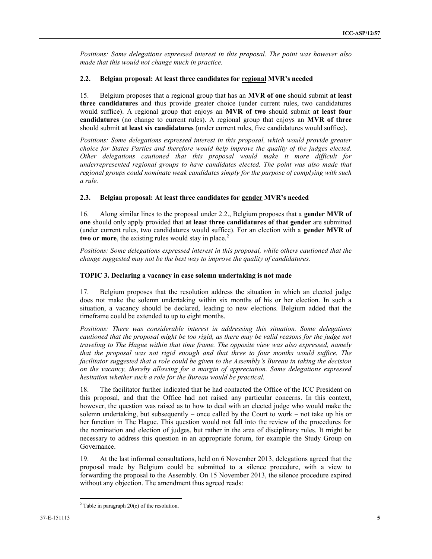*Positions: Some delegations expressed interest in this proposal. The point was however also made that this would not change much in practice.*

#### **2.2. Belgian proposal: At least three candidates for regional MVR's needed**

15. Belgium proposes that a regional group that has an **MVR of one** should submit **at least three candidatures** and thus provide greater choice (under current rules, two candidatures would suffice). A regional group that enjoys an **MVR of two** should submit **at least four candidatures** (no change to current rules). A regional group that enjoys an **MVR of three** should submit **at least six candidatures** (under current rules, five candidatures would suffice).

*Positions: Some delegations expressed interest in this proposal, which would provide greater choice for States Parties and therefore would help improve the quality of the judges elected. Other delegations cautioned that this proposal would make it more difficult for underrepresented regional groups to have candidates elected. The point was also made that regional groups could nominate weak candidates simply for the purpose of complying with such a rule.*

#### **2.3. Belgian proposal: At least three candidates for gender MVR's needed**

16. Along similar lines to the proposal under 2.2., Belgium proposes that a **gender MVR of one** should only apply provided that **at least three candidatures of that gender** are submitted (under current rules, two candidatures would suffice). For an election with a **gender MVR of two or more**, the existing rules would stay in place.<sup>2</sup>

*Positions: Some delegations expressed interest in this proposal, while others cautioned that the change suggested may not be the best way to improve the quality of candidatures.* 

#### **TOPIC 3. Declaring a vacancy in case solemn undertaking is not made**

17. Belgium proposes that the resolution address the situation in which an elected judge does not make the solemn undertaking within six months of his or her election. In such a situation, a vacancy should be declared, leading to new elections. Belgium added that the timeframe could be extended to up to eight months.

*Positions: There was considerable interest in addressing this situation. Some delegations cautioned that the proposal might be too rigid, as there may be valid reasons for the judge not traveling to The Hague within that time frame. The opposite view was also expressed, namely that the proposal was not rigid enough and that three to four months would suffice. The facilitator suggested that a role could be given to the Assembly's Bureau in taking the decision on the vacancy, thereby allowing for a margin of appreciation. Some delegations expressed hesitation whether such a role for the Bureau would be practical.*

18. The facilitator further indicated that he had contacted the Office of the ICC President on this proposal, and that the Office had not raised any particular concerns. In this context, however, the question was raised as to how to deal with an elected judge who would make the solemn undertaking, but subsequently – once called by the Court to work – not take up his or her function in The Hague. This question would not fall into the review of the procedures for the nomination and election of judges, but rather in the area of disciplinary rules. It might be necessary to address this question in an appropriate forum, for example the Study Group on Governance.

19. At the last informal consultations, held on 6 November 2013, delegations agreed that the proposal made by Belgium could be submitted to a silence procedure, with a view to forwarding the proposal to the Assembly. On 15 November 2013, the silence procedure expired without any objection. The amendment thus agreed reads:

 $\overline{a}$  $2$  Table in paragraph 20(c) of the resolution.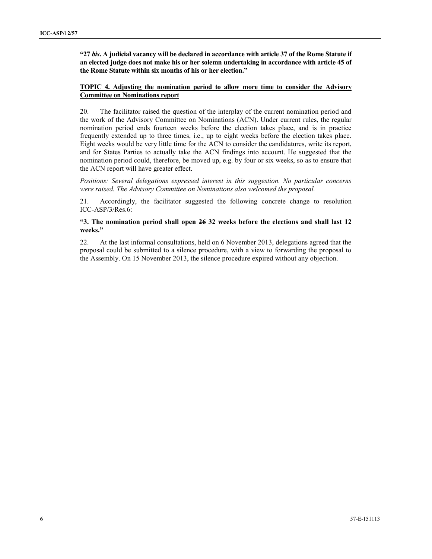**"27** *bis***. A judicial vacancy will be declared in accordance with article 37 of the Rome Statute if an elected judge does not make his or her solemn undertaking in accordance with article 45 of the Rome Statute within six months of his or her election."**

#### **TOPIC 4. Adjusting the nomination period to allow more time to consider the Advisory Committee on Nominations report**

20. The facilitator raised the question of the interplay of the current nomination period and the work of the Advisory Committee on Nominations (ACN). Under current rules, the regular nomination period ends fourteen weeks before the election takes place, and is in practice frequently extended up to three times, i.e., up to eight weeks before the election takes place. Eight weeks would be very little time for the ACN to consider the candidatures, write its report, and for States Parties to actually take the ACN findings into account. He suggested that the nomination period could, therefore, be moved up, e.g. by four or six weeks, so as to ensure that the ACN report will have greater effect.

*Positions: Several delegations expressed interest in this suggestion. No particular concerns were raised. The Advisory Committee on Nominations also welcomed the proposal.*

21. Accordingly, the facilitator suggested the following concrete change to resolution ICC-ASP/3/Res.6:

#### **"3. The nomination period shall open 26 32 weeks before the elections and shall last 12 weeks."**

22. At the last informal consultations, held on 6 November 2013, delegations agreed that the proposal could be submitted to a silence procedure, with a view to forwarding the proposal to the Assembly. On 15 November 2013, the silence procedure expired without any objection.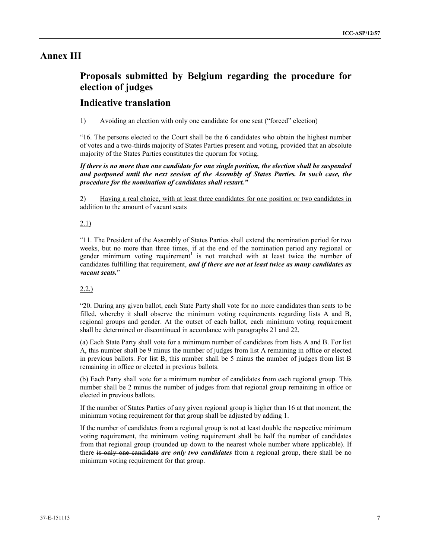### **Annex III**

# **Proposals submitted by Belgium regarding the procedure for election of judges**

### **Indicative translation**

#### 1) Avoiding an election with only one candidate for one seat ("forced" election)

"16. The persons elected to the Court shall be the 6 candidates who obtain the highest number of votes and a two-thirds majority of States Parties present and voting, provided that an absolute majority of the States Parties constitutes the quorum for voting.

*If there is no more than one candidate for one single position, the election shall be suspended and postponed until the next session of the Assembly of States Parties. In such case, the procedure for the nomination of candidates shall restart."*

2) Having a real choice, with at least three candidates for one position or two candidates in addition to the amount of vacant seats

#### 2.1)

"11. The President of the Assembly of States Parties shall extend the nomination period for two weeks, but no more than three times, if at the end of the nomination period any regional or gender minimum voting requirement<sup>1</sup> is not matched with at least twice the number of candidates fulfilling that requirement, *and if there are not at least twice as many candidates as vacant seats.*"

#### 2.2.)

"20. During any given ballot, each State Party shall vote for no more candidates than seats to be filled, whereby it shall observe the minimum voting requirements regarding lists A and B, regional groups and gender. At the outset of each ballot, each minimum voting requirement shall be determined or discontinued in accordance with paragraphs 21 and 22.

(a) Each State Party shall vote for a minimum number of candidates from lists A and B. For list A, this number shall be 9 minus the number of judges from list A remaining in office or elected in previous ballots. For list B, this number shall be 5 minus the number of judges from list B remaining in office or elected in previous ballots.

(b) Each Party shall vote for a minimum number of candidates from each regional group. This number shall be 2 minus the number of judges from that regional group remaining in office or elected in previous ballots.

If the number of States Parties of any given regional group is higher than 16 at that moment, the minimum voting requirement for that group shall be adjusted by adding 1.

If the number of candidates from a regional group is not at least double the respective minimum voting requirement, the minimum voting requirement shall be half the number of candidates from that regional group (rounded up down to the nearest whole number where applicable). If there is only one candidate *are only two candidates* from a regional group, there shall be no minimum voting requirement for that group.